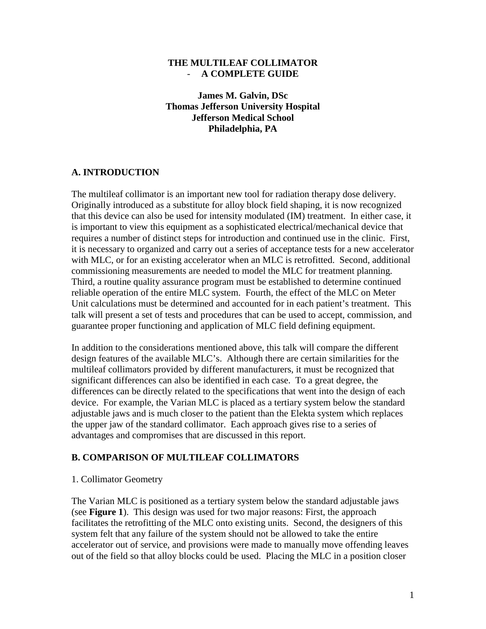### **THE MULTILEAF COLLIMATOR** - **A COMPLETE GUIDE**

**James M. Galvin, DSc Thomas Jefferson University Hospital Jefferson Medical School Philadelphia, PA**

### **A. INTRODUCTION**

The multileaf collimator is an important new tool for radiation therapy dose delivery. Originally introduced as a substitute for alloy block field shaping, it is now recognized that this device can also be used for intensity modulated (IM) treatment. In either case, it is important to view this equipment as a sophisticated electrical/mechanical device that requires a number of distinct steps for introduction and continued use in the clinic. First, it is necessary to organized and carry out a series of acceptance tests for a new accelerator with MLC, or for an existing accelerator when an MLC is retrofitted. Second, additional commissioning measurements are needed to model the MLC for treatment planning. Third, a routine quality assurance program must be established to determine continued reliable operation of the entire MLC system. Fourth, the effect of the MLC on Meter Unit calculations must be determined and accounted for in each patient's treatment. This talk will present a set of tests and procedures that can be used to accept, commission, and guarantee proper functioning and application of MLC field defining equipment.

In addition to the considerations mentioned above, this talk will compare the different design features of the available MLC's. Although there are certain similarities for the multileaf collimators provided by different manufacturers, it must be recognized that significant differences can also be identified in each case. To a great degree, the differences can be directly related to the specifications that went into the design of each device. For example, the Varian MLC is placed as a tertiary system below the standard adjustable jaws and is much closer to the patient than the Elekta system which replaces the upper jaw of the standard collimator. Each approach gives rise to a series of advantages and compromises that are discussed in this report.

#### **B. COMPARISON OF MULTILEAF COLLIMATORS**

#### 1. Collimator Geometry

The Varian MLC is positioned as a tertiary system below the standard adjustable jaws (see **Figure 1**). This design was used for two major reasons: First, the approach facilitates the retrofitting of the MLC onto existing units. Second, the designers of this system felt that any failure of the system should not be allowed to take the entire accelerator out of service, and provisions were made to manually move offending leaves out of the field so that alloy blocks could be used. Placing the MLC in a position closer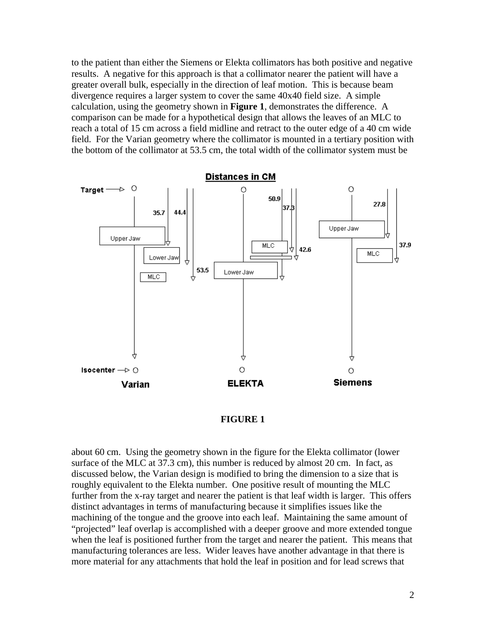to the patient than either the Siemens or Elekta collimators has both positive and negative results. A negative for this approach is that a collimator nearer the patient will have a greater overall bulk, especially in the direction of leaf motion. This is because beam divergence requires a larger system to cover the same 40x40 field size. A simple calculation, using the geometry shown in **Figure 1**, demonstrates the difference. A comparison can be made for a hypothetical design that allows the leaves of an MLC to reach a total of 15 cm across a field midline and retract to the outer edge of a 40 cm wide field. For the Varian geometry where the collimator is mounted in a tertiary position with the bottom of the collimator at 53.5 cm, the total width of the collimator system must be



### **FIGURE 1**

about 60 cm. Using the geometry shown in the figure for the Elekta collimator (lower surface of the MLC at 37.3 cm), this number is reduced by almost 20 cm. In fact, as discussed below, the Varian design is modified to bring the dimension to a size that is roughly equivalent to the Elekta number. One positive result of mounting the MLC further from the x-ray target and nearer the patient is that leaf width is larger. This offers distinct advantages in terms of manufacturing because it simplifies issues like the machining of the tongue and the groove into each leaf. Maintaining the same amount of "projected" leaf overlap is accomplished with a deeper groove and more extended tongue when the leaf is positioned further from the target and nearer the patient. This means that manufacturing tolerances are less. Wider leaves have another advantage in that there is more material for any attachments that hold the leaf in position and for lead screws that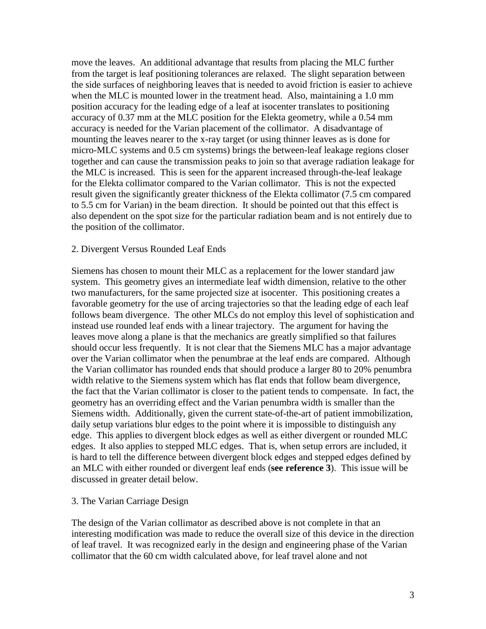move the leaves. An additional advantage that results from placing the MLC further from the target is leaf positioning tolerances are relaxed. The slight separation between the side surfaces of neighboring leaves that is needed to avoid friction is easier to achieve when the MLC is mounted lower in the treatment head. Also, maintaining a 1.0 mm position accuracy for the leading edge of a leaf at isocenter translates to positioning accuracy of 0.37 mm at the MLC position for the Elekta geometry, while a 0.54 mm accuracy is needed for the Varian placement of the collimator. A disadvantage of mounting the leaves nearer to the x-ray target (or using thinner leaves as is done for micro-MLC systems and 0.5 cm systems) brings the between-leaf leakage regions closer together and can cause the transmission peaks to join so that average radiation leakage for the MLC is increased. This is seen for the apparent increased through-the-leaf leakage for the Elekta collimator compared to the Varian collimator. This is not the expected result given the significantly greater thickness of the Elekta collimator (7.5 cm compared to 5.5 cm for Varian) in the beam direction. It should be pointed out that this effect is also dependent on the spot size for the particular radiation beam and is not entirely due to the position of the collimator.

### 2. Divergent Versus Rounded Leaf Ends

Siemens has chosen to mount their MLC as a replacement for the lower standard jaw system. This geometry gives an intermediate leaf width dimension, relative to the other two manufacturers, for the same projected size at isocenter. This positioning creates a favorable geometry for the use of arcing trajectories so that the leading edge of each leaf follows beam divergence. The other MLCs do not employ this level of sophistication and instead use rounded leaf ends with a linear trajectory. The argument for having the leaves move along a plane is that the mechanics are greatly simplified so that failures should occur less frequently. It is not clear that the Siemens MLC has a major advantage over the Varian collimator when the penumbrae at the leaf ends are compared. Although the Varian collimator has rounded ends that should produce a larger 80 to 20% penumbra width relative to the Siemens system which has flat ends that follow beam divergence, the fact that the Varian collimator is closer to the patient tends to compensate. In fact, the geometry has an overriding effect and the Varian penumbra width is smaller than the Siemens width. Additionally, given the current state-of-the-art of patient immobilization, daily setup variations blur edges to the point where it is impossible to distinguish any edge. This applies to divergent block edges as well as either divergent or rounded MLC edges. It also applies to stepped MLC edges. That is, when setup errors are included, it is hard to tell the difference between divergent block edges and stepped edges defined by an MLC with either rounded or divergent leaf ends (**see reference 3**). This issue will be discussed in greater detail below.

## 3. The Varian Carriage Design

The design of the Varian collimator as described above is not complete in that an interesting modification was made to reduce the overall size of this device in the direction of leaf travel. It was recognized early in the design and engineering phase of the Varian collimator that the 60 cm width calculated above, for leaf travel alone and not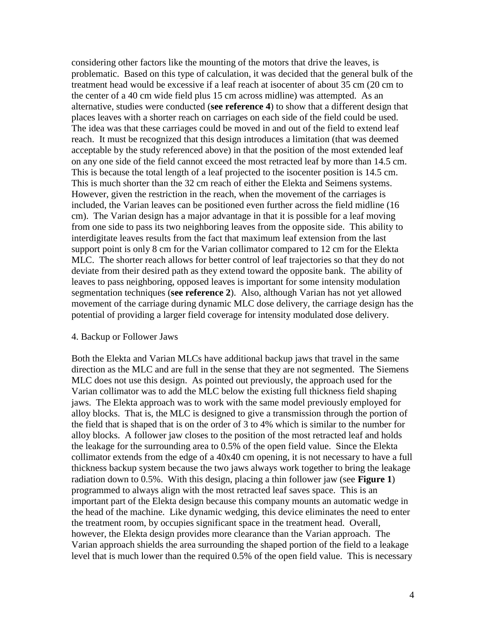considering other factors like the mounting of the motors that drive the leaves, is problematic. Based on this type of calculation, it was decided that the general bulk of the treatment head would be excessive if a leaf reach at isocenter of about 35 cm (20 cm to the center of a 40 cm wide field plus 15 cm across midline) was attempted. As an alternative, studies were conducted (**see reference 4**) to show that a different design that places leaves with a shorter reach on carriages on each side of the field could be used. The idea was that these carriages could be moved in and out of the field to extend leaf reach. It must be recognized that this design introduces a limitation (that was deemed acceptable by the study referenced above) in that the position of the most extended leaf on any one side of the field cannot exceed the most retracted leaf by more than 14.5 cm. This is because the total length of a leaf projected to the isocenter position is 14.5 cm. This is much shorter than the 32 cm reach of either the Elekta and Seimens systems. However, given the restriction in the reach, when the movement of the carriages is included, the Varian leaves can be positioned even further across the field midline (16 cm). The Varian design has a major advantage in that it is possible for a leaf moving from one side to pass its two neighboring leaves from the opposite side. This ability to interdigitate leaves results from the fact that maximum leaf extension from the last support point is only 8 cm for the Varian collimator compared to 12 cm for the Elekta MLC. The shorter reach allows for better control of leaf trajectories so that they do not deviate from their desired path as they extend toward the opposite bank. The ability of leaves to pass neighboring, opposed leaves is important for some intensity modulation segmentation techniques (**see reference 2**). Also, although Varian has not yet allowed movement of the carriage during dynamic MLC dose delivery, the carriage design has the potential of providing a larger field coverage for intensity modulated dose delivery.

#### 4. Backup or Follower Jaws

Both the Elekta and Varian MLCs have additional backup jaws that travel in the same direction as the MLC and are full in the sense that they are not segmented. The Siemens MLC does not use this design. As pointed out previously, the approach used for the Varian collimator was to add the MLC below the existing full thickness field shaping jaws. The Elekta approach was to work with the same model previously employed for alloy blocks. That is, the MLC is designed to give a transmission through the portion of the field that is shaped that is on the order of 3 to 4% which is similar to the number for alloy blocks. A follower jaw closes to the position of the most retracted leaf and holds the leakage for the surrounding area to 0.5% of the open field value. Since the Elekta collimator extends from the edge of a 40x40 cm opening, it is not necessary to have a full thickness backup system because the two jaws always work together to bring the leakage radiation down to 0.5%. With this design, placing a thin follower jaw (see **Figure 1**) programmed to always align with the most retracted leaf saves space. This is an important part of the Elekta design because this company mounts an automatic wedge in the head of the machine. Like dynamic wedging, this device eliminates the need to enter the treatment room, by occupies significant space in the treatment head. Overall, however, the Elekta design provides more clearance than the Varian approach. The Varian approach shields the area surrounding the shaped portion of the field to a leakage level that is much lower than the required 0.5% of the open field value. This is necessary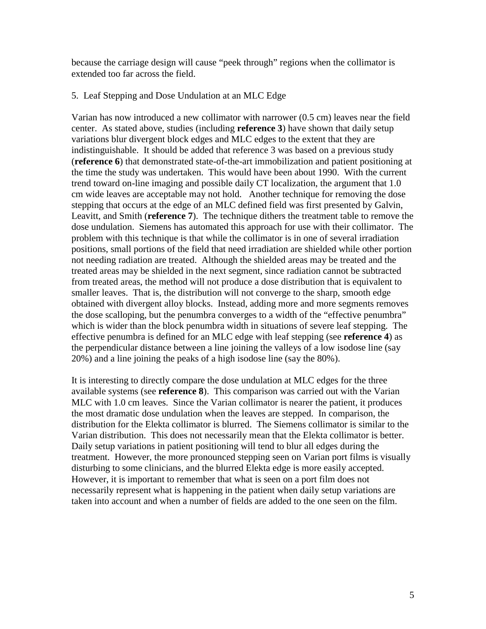because the carriage design will cause "peek through" regions when the collimator is extended too far across the field.

## 5. Leaf Stepping and Dose Undulation at an MLC Edge

Varian has now introduced a new collimator with narrower (0.5 cm) leaves near the field center. As stated above, studies (including **reference 3**) have shown that daily setup variations blur divergent block edges and MLC edges to the extent that they are indistinguishable. It should be added that reference 3 was based on a previous study (**reference 6**) that demonstrated state-of-the-art immobilization and patient positioning at the time the study was undertaken. This would have been about 1990. With the current trend toward on-line imaging and possible daily CT localization, the argument that 1.0 cm wide leaves are acceptable may not hold. Another technique for removing the dose stepping that occurs at the edge of an MLC defined field was first presented by Galvin, Leavitt, and Smith (**reference 7**). The technique dithers the treatment table to remove the dose undulation. Siemens has automated this approach for use with their collimator. The problem with this technique is that while the collimator is in one of several irradiation positions, small portions of the field that need irradiation are shielded while other portion not needing radiation are treated. Although the shielded areas may be treated and the treated areas may be shielded in the next segment, since radiation cannot be subtracted from treated areas, the method will not produce a dose distribution that is equivalent to smaller leaves. That is, the distribution will not converge to the sharp, smooth edge obtained with divergent alloy blocks. Instead, adding more and more segments removes the dose scalloping, but the penumbra converges to a width of the "effective penumbra" which is wider than the block penumbra width in situations of severe leaf stepping. The effective penumbra is defined for an MLC edge with leaf stepping (see **reference 4**) as the perpendicular distance between a line joining the valleys of a low isodose line (say 20%) and a line joining the peaks of a high isodose line (say the 80%).

It is interesting to directly compare the dose undulation at MLC edges for the three available systems (see **reference 8**). This comparison was carried out with the Varian MLC with 1.0 cm leaves. Since the Varian collimator is nearer the patient, it produces the most dramatic dose undulation when the leaves are stepped. In comparison, the distribution for the Elekta collimator is blurred. The Siemens collimator is similar to the Varian distribution. This does not necessarily mean that the Elekta collimator is better. Daily setup variations in patient positioning will tend to blur all edges during the treatment. However, the more pronounced stepping seen on Varian port films is visually disturbing to some clinicians, and the blurred Elekta edge is more easily accepted. However, it is important to remember that what is seen on a port film does not necessarily represent what is happening in the patient when daily setup variations are taken into account and when a number of fields are added to the one seen on the film.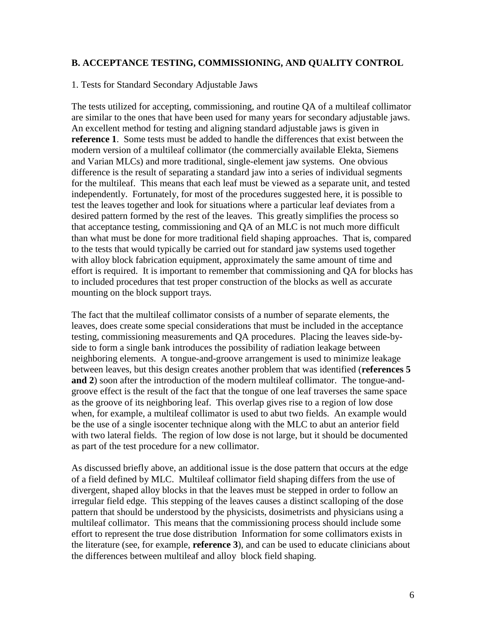## **B. ACCEPTANCE TESTING, COMMISSIONING, AND QUALITY CONTROL**

#### 1. Tests for Standard Secondary Adjustable Jaws

The tests utilized for accepting, commissioning, and routine QA of a multileaf collimator are similar to the ones that have been used for many years for secondary adjustable jaws. An excellent method for testing and aligning standard adjustable jaws is given in **reference 1**. Some tests must be added to handle the differences that exist between the modern version of a multileaf collimator (the commercially available Elekta, Siemens and Varian MLCs) and more traditional, single-element jaw systems. One obvious difference is the result of separating a standard jaw into a series of individual segments for the multileaf. This means that each leaf must be viewed as a separate unit, and tested independently. Fortunately, for most of the procedures suggested here, it is possible to test the leaves together and look for situations where a particular leaf deviates from a desired pattern formed by the rest of the leaves. This greatly simplifies the process so that acceptance testing, commissioning and QA of an MLC is not much more difficult than what must be done for more traditional field shaping approaches. That is, compared to the tests that would typically be carried out for standard jaw systems used together with alloy block fabrication equipment, approximately the same amount of time and effort is required. It is important to remember that commissioning and QA for blocks has to included procedures that test proper construction of the blocks as well as accurate mounting on the block support trays.

The fact that the multileaf collimator consists of a number of separate elements, the leaves, does create some special considerations that must be included in the acceptance testing, commissioning measurements and QA procedures. Placing the leaves side-byside to form a single bank introduces the possibility of radiation leakage between neighboring elements. A tongue-and-groove arrangement is used to minimize leakage between leaves, but this design creates another problem that was identified (**references 5 and 2**) soon after the introduction of the modern multileaf collimator. The tongue-andgroove effect is the result of the fact that the tongue of one leaf traverses the same space as the groove of its neighboring leaf. This overlap gives rise to a region of low dose when, for example, a multileaf collimator is used to abut two fields. An example would be the use of a single isocenter technique along with the MLC to abut an anterior field with two lateral fields. The region of low dose is not large, but it should be documented as part of the test procedure for a new collimator.

As discussed briefly above, an additional issue is the dose pattern that occurs at the edge of a field defined by MLC. Multileaf collimator field shaping differs from the use of divergent, shaped alloy blocks in that the leaves must be stepped in order to follow an irregular field edge. This stepping of the leaves causes a distinct scalloping of the dose pattern that should be understood by the physicists, dosimetrists and physicians using a multileaf collimator. This means that the commissioning process should include some effort to represent the true dose distribution Information for some collimators exists in the literature (see, for example, **reference 3**), and can be used to educate clinicians about the differences between multileaf and alloy block field shaping.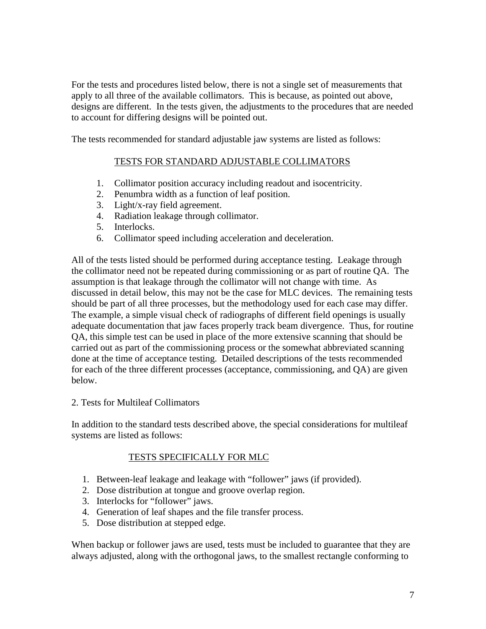For the tests and procedures listed below, there is not a single set of measurements that apply to all three of the available collimators. This is because, as pointed out above, designs are different. In the tests given, the adjustments to the procedures that are needed to account for differing designs will be pointed out.

The tests recommended for standard adjustable jaw systems are listed as follows:

# TESTS FOR STANDARD ADJUSTABLE COLLIMATORS

- 1. Collimator position accuracy including readout and isocentricity.
- 2. Penumbra width as a function of leaf position.
- 3. Light/x-ray field agreement.
- 4. Radiation leakage through collimator.
- 5. Interlocks.
- 6. Collimator speed including acceleration and deceleration.

All of the tests listed should be performed during acceptance testing. Leakage through the collimator need not be repeated during commissioning or as part of routine QA. The assumption is that leakage through the collimator will not change with time. As discussed in detail below, this may not be the case for MLC devices. The remaining tests should be part of all three processes, but the methodology used for each case may differ. The example, a simple visual check of radiographs of different field openings is usually adequate documentation that jaw faces properly track beam divergence. Thus, for routine QA, this simple test can be used in place of the more extensive scanning that should be carried out as part of the commissioning process or the somewhat abbreviated scanning done at the time of acceptance testing. Detailed descriptions of the tests recommended for each of the three different processes (acceptance, commissioning, and QA) are given below.

2. Tests for Multileaf Collimators

In addition to the standard tests described above, the special considerations for multileaf systems are listed as follows:

# TESTS SPECIFICALLY FOR MLC

- 1. Between-leaf leakage and leakage with "follower" jaws (if provided).
- 2. Dose distribution at tongue and groove overlap region.
- 3. Interlocks for "follower" jaws.
- 4. Generation of leaf shapes and the file transfer process.
- 5. Dose distribution at stepped edge.

When backup or follower jaws are used, tests must be included to guarantee that they are always adjusted, along with the orthogonal jaws, to the smallest rectangle conforming to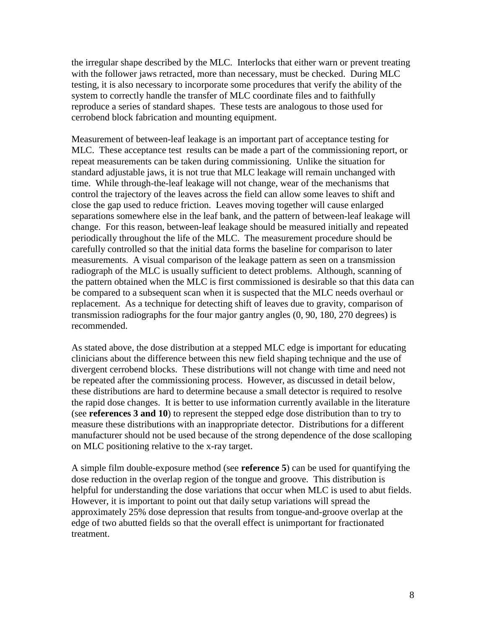the irregular shape described by the MLC. Interlocks that either warn or prevent treating with the follower jaws retracted, more than necessary, must be checked. During MLC testing, it is also necessary to incorporate some procedures that verify the ability of the system to correctly handle the transfer of MLC coordinate files and to faithfully reproduce a series of standard shapes. These tests are analogous to those used for cerrobend block fabrication and mounting equipment.

Measurement of between-leaf leakage is an important part of acceptance testing for MLC. These acceptance test results can be made a part of the commissioning report, or repeat measurements can be taken during commissioning. Unlike the situation for standard adjustable jaws, it is not true that MLC leakage will remain unchanged with time. While through-the-leaf leakage will not change, wear of the mechanisms that control the trajectory of the leaves across the field can allow some leaves to shift and close the gap used to reduce friction. Leaves moving together will cause enlarged separations somewhere else in the leaf bank, and the pattern of between-leaf leakage will change. For this reason, between-leaf leakage should be measured initially and repeated periodically throughout the life of the MLC. The measurement procedure should be carefully controlled so that the initial data forms the baseline for comparison to later measurements. A visual comparison of the leakage pattern as seen on a transmission radiograph of the MLC is usually sufficient to detect problems. Although, scanning of the pattern obtained when the MLC is first commissioned is desirable so that this data can be compared to a subsequent scan when it is suspected that the MLC needs overhaul or replacement. As a technique for detecting shift of leaves due to gravity, comparison of transmission radiographs for the four major gantry angles (0, 90, 180, 270 degrees) is recommended.

As stated above, the dose distribution at a stepped MLC edge is important for educating clinicians about the difference between this new field shaping technique and the use of divergent cerrobend blocks. These distributions will not change with time and need not be repeated after the commissioning process. However, as discussed in detail below, these distributions are hard to determine because a small detector is required to resolve the rapid dose changes. It is better to use information currently available in the literature (see **references 3 and 10**) to represent the stepped edge dose distribution than to try to measure these distributions with an inappropriate detector. Distributions for a different manufacturer should not be used because of the strong dependence of the dose scalloping on MLC positioning relative to the x-ray target.

A simple film double-exposure method (see **reference 5**) can be used for quantifying the dose reduction in the overlap region of the tongue and groove. This distribution is helpful for understanding the dose variations that occur when MLC is used to abut fields. However, it is important to point out that daily setup variations will spread the approximately 25% dose depression that results from tongue-and-groove overlap at the edge of two abutted fields so that the overall effect is unimportant for fractionated treatment.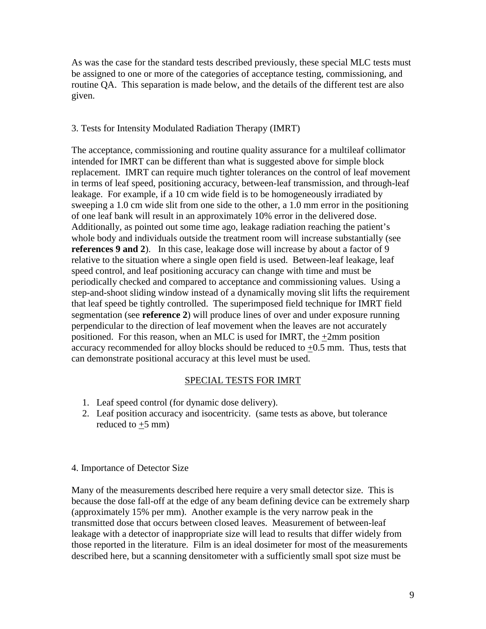As was the case for the standard tests described previously, these special MLC tests must be assigned to one or more of the categories of acceptance testing, commissioning, and routine QA. This separation is made below, and the details of the different test are also given.

## 3. Tests for Intensity Modulated Radiation Therapy (IMRT)

The acceptance, commissioning and routine quality assurance for a multileaf collimator intended for IMRT can be different than what is suggested above for simple block replacement. IMRT can require much tighter tolerances on the control of leaf movement in terms of leaf speed, positioning accuracy, between-leaf transmission, and through-leaf leakage. For example, if a 10 cm wide field is to be homogeneously irradiated by sweeping a 1.0 cm wide slit from one side to the other, a 1.0 mm error in the positioning of one leaf bank will result in an approximately 10% error in the delivered dose. Additionally, as pointed out some time ago, leakage radiation reaching the patient's whole body and individuals outside the treatment room will increase substantially (see **references 9 and 2**). In this case, leakage dose will increase by about a factor of 9 relative to the situation where a single open field is used. Between-leaf leakage, leaf speed control, and leaf positioning accuracy can change with time and must be periodically checked and compared to acceptance and commissioning values. Using a step-and-shoot sliding window instead of a dynamically moving slit lifts the requirement that leaf speed be tightly controlled. The superimposed field technique for IMRT field segmentation (see **reference 2**) will produce lines of over and under exposure running perpendicular to the direction of leaf movement when the leaves are not accurately positioned. For this reason, when an MLC is used for IMRT, the +2mm position accuracy recommended for alloy blocks should be reduced to +0.5 mm. Thus, tests that can demonstrate positional accuracy at this level must be used.

## SPECIAL TESTS FOR IMRT

- 1. Leaf speed control (for dynamic dose delivery).
- 2. Leaf position accuracy and isocentricity. (same tests as above, but tolerance reduced to  $+5$  mm)

## 4. Importance of Detector Size

Many of the measurements described here require a very small detector size. This is because the dose fall-off at the edge of any beam defining device can be extremely sharp (approximately 15% per mm). Another example is the very narrow peak in the transmitted dose that occurs between closed leaves. Measurement of between-leaf leakage with a detector of inappropriate size will lead to results that differ widely from those reported in the literature. Film is an ideal dosimeter for most of the measurements described here, but a scanning densitometer with a sufficiently small spot size must be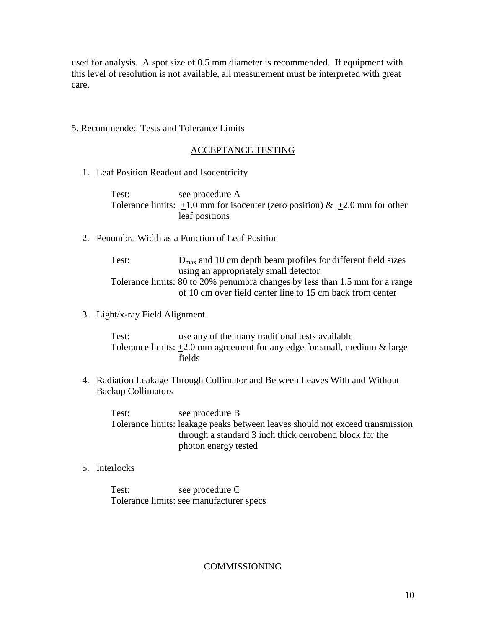used for analysis. A spot size of 0.5 mm diameter is recommended. If equipment with this level of resolution is not available, all measurement must be interpreted with great care.

## 5. Recommended Tests and Tolerance Limits

## ACCEPTANCE TESTING

1. Leaf Position Readout and Isocentricity

Test: see procedure A Tolerance limits:  $\pm 1.0$  mm for isocenter (zero position) &  $\pm 2.0$  mm for other leaf positions

2. Penumbra Width as a Function of Leaf Position

Test: D<sub>max</sub> and 10 cm depth beam profiles for different field sizes using an appropriately small detector Tolerance limits: 80 to 20% penumbra changes by less than 1.5 mm for a range of 10 cm over field center line to 15 cm back from center

3. Light/x-ray Field Alignment

Test: use any of the many traditional tests available Tolerance limits:  $+2.0$  mm agreement for any edge for small, medium  $\&$  large fields

4. Radiation Leakage Through Collimator and Between Leaves With and Without Backup Collimators

Test: see procedure B Tolerance limits: leakage peaks between leaves should not exceed transmission through a standard 3 inch thick cerrobend block for the photon energy tested

5. Interlocks

Test: see procedure C Tolerance limits: see manufacturer specs

# **COMMISSIONING**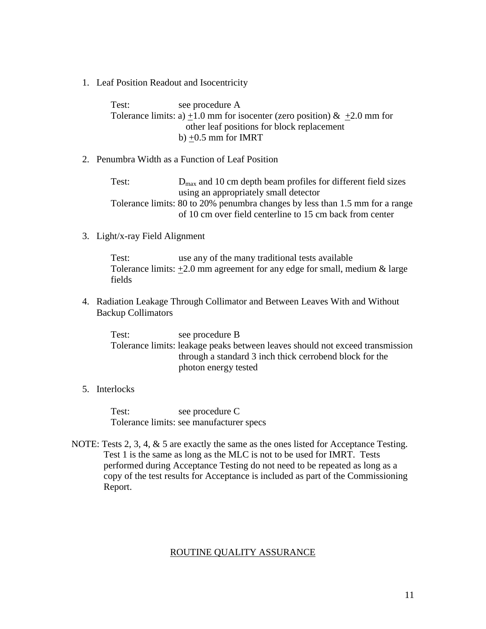1. Leaf Position Readout and Isocentricity

Test: see procedure A Tolerance limits: a) +1.0 mm for isocenter (zero position)  $\&$  +2.0 mm for other leaf positions for block replacement  $b) +0.5$  mm for IMRT

2. Penumbra Width as a Function of Leaf Position

Test:  $D_{\text{max}}$  and 10 cm depth beam profiles for different field sizes using an appropriately small detector Tolerance limits: 80 to 20% penumbra changes by less than 1.5 mm for a range of 10 cm over field centerline to 15 cm back from center

3. Light/x-ray Field Alignment

Test: use any of the many traditional tests available Tolerance limits:  $+2.0$  mm agreement for any edge for small, medium & large fields

4. Radiation Leakage Through Collimator and Between Leaves With and Without Backup Collimators

Test: see procedure B Tolerance limits: leakage peaks between leaves should not exceed transmission through a standard 3 inch thick cerrobend block for the photon energy tested

5. Interlocks

Test: see procedure C Tolerance limits: see manufacturer specs

NOTE: Tests 2, 3, 4, & 5 are exactly the same as the ones listed for Acceptance Testing. Test 1 is the same as long as the MLC is not to be used for IMRT. Tests performed during Acceptance Testing do not need to be repeated as long as a copy of the test results for Acceptance is included as part of the Commissioning Report.

## ROUTINE QUALITY ASSURANCE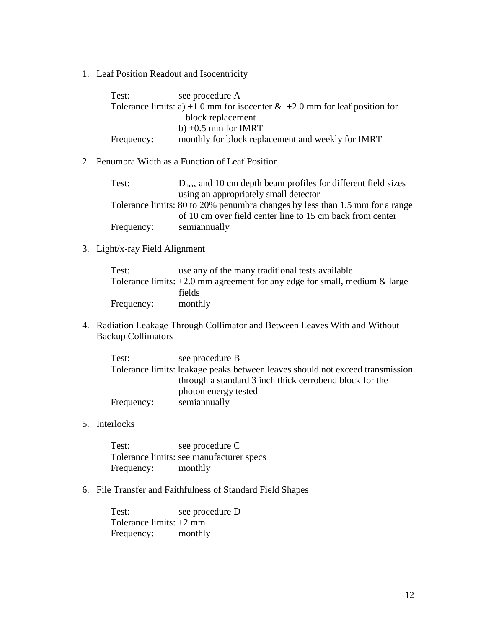1. Leaf Position Readout and Isocentricity

| Test:      | see procedure A                                                                      |
|------------|--------------------------------------------------------------------------------------|
|            | Tolerance limits: a) $\pm 1.0$ mm for isocenter & $\pm 2.0$ mm for leaf position for |
|            | block replacement                                                                    |
|            | b) $+0.5$ mm for IMRT                                                                |
| Frequency: | monthly for block replacement and weekly for IMRT                                    |

2. Penumbra Width as a Function of Leaf Position

| Test:      | $D_{\text{max}}$ and 10 cm depth beam profiles for different field sizes     |
|------------|------------------------------------------------------------------------------|
|            | using an appropriately small detector                                        |
|            | Tolerance limits: 80 to 20% penumbra changes by less than 1.5 mm for a range |
|            | of 10 cm over field center line to 15 cm back from center                    |
| Frequency: | semiannually                                                                 |

### 3. Light/x-ray Field Alignment

Test: use any of the many traditional tests available Tolerance limits:  $\pm 2.0$  mm agreement for any edge for small, medium & large fields Frequency: monthly

4. Radiation Leakage Through Collimator and Between Leaves With and Without Backup Collimators

| Test:      | see procedure B                                                               |
|------------|-------------------------------------------------------------------------------|
|            | Tolerance limits: leakage peaks between leaves should not exceed transmission |
|            | through a standard 3 inch thick cerrobend block for the                       |
|            | photon energy tested                                                          |
| Frequency: | semiannually                                                                  |

5. Interlocks

Test: see procedure C Tolerance limits: see manufacturer specs Frequency: monthly

6. File Transfer and Faithfulness of Standard Field Shapes

Test: see procedure D Tolerance limits:  $\pm 2$  mm Frequency: monthly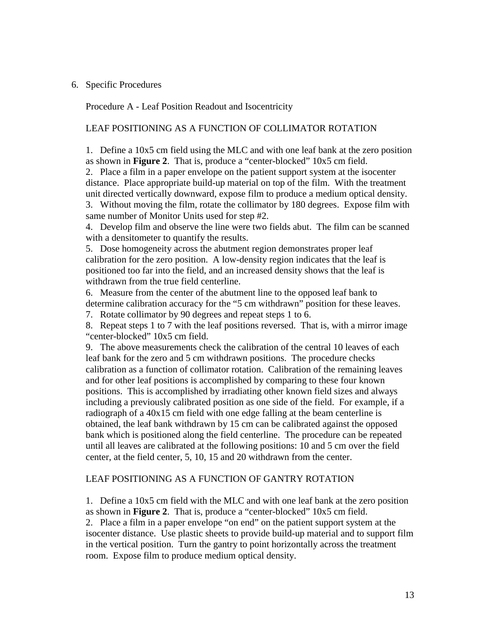### 6. Specific Procedures

Procedure A - Leaf Position Readout and Isocentricity

## LEAF POSITIONING AS A FUNCTION OF COLLIMATOR ROTATION

1. Define a 10x5 cm field using the MLC and with one leaf bank at the zero position as shown in **Figure 2**. That is, produce a "center-blocked" 10x5 cm field.

2. Place a film in a paper envelope on the patient support system at the isocenter distance. Place appropriate build-up material on top of the film. With the treatment unit directed vertically downward, expose film to produce a medium optical density. 3. Without moving the film, rotate the collimator by 180 degrees. Expose film with same number of Monitor Units used for step #2.

4. Develop film and observe the line were two fields abut. The film can be scanned with a densitometer to quantify the results.

5. Dose homogeneity across the abutment region demonstrates proper leaf calibration for the zero position. A low-density region indicates that the leaf is positioned too far into the field, and an increased density shows that the leaf is withdrawn from the true field centerline.

6. Measure from the center of the abutment line to the opposed leaf bank to determine calibration accuracy for the "5 cm withdrawn" position for these leaves.

7. Rotate collimator by 90 degrees and repeat steps 1 to 6.

8. Repeat steps 1 to 7 with the leaf positions reversed. That is, with a mirror image "center-blocked" 10x5 cm field.

9. The above measurements check the calibration of the central 10 leaves of each leaf bank for the zero and 5 cm withdrawn positions. The procedure checks calibration as a function of collimator rotation. Calibration of the remaining leaves and for other leaf positions is accomplished by comparing to these four known positions. This is accomplished by irradiating other known field sizes and always including a previously calibrated position as one side of the field. For example, if a radiograph of a 40x15 cm field with one edge falling at the beam centerline is obtained, the leaf bank withdrawn by 15 cm can be calibrated against the opposed bank which is positioned along the field centerline. The procedure can be repeated until all leaves are calibrated at the following positions: 10 and 5 cm over the field center, at the field center, 5, 10, 15 and 20 withdrawn from the center.

#### LEAF POSITIONING AS A FUNCTION OF GANTRY ROTATION

1. Define a 10x5 cm field with the MLC and with one leaf bank at the zero position as shown in **Figure 2**. That is, produce a "center-blocked" 10x5 cm field. 2. Place a film in a paper envelope "on end" on the patient support system at the isocenter distance. Use plastic sheets to provide build-up material and to support film in the vertical position. Turn the gantry to point horizontally across the treatment room. Expose film to produce medium optical density.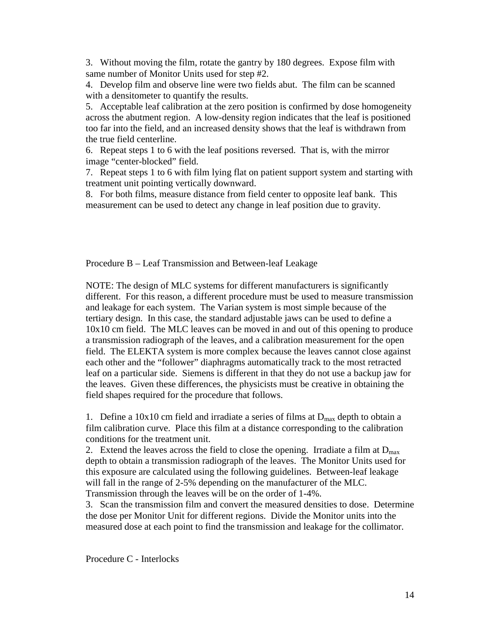3. Without moving the film, rotate the gantry by 180 degrees. Expose film with same number of Monitor Units used for step #2.

4. Develop film and observe line were two fields abut. The film can be scanned with a densitometer to quantify the results.

5. Acceptable leaf calibration at the zero position is confirmed by dose homogeneity across the abutment region. A low-density region indicates that the leaf is positioned too far into the field, and an increased density shows that the leaf is withdrawn from the true field centerline.

6. Repeat steps 1 to 6 with the leaf positions reversed. That is, with the mirror image "center-blocked" field.

7. Repeat steps 1 to 6 with film lying flat on patient support system and starting with treatment unit pointing vertically downward.

8. For both films, measure distance from field center to opposite leaf bank. This measurement can be used to detect any change in leaf position due to gravity.

Procedure B – Leaf Transmission and Between-leaf Leakage

NOTE: The design of MLC systems for different manufacturers is significantly different. For this reason, a different procedure must be used to measure transmission and leakage for each system. The Varian system is most simple because of the tertiary design. In this case, the standard adjustable jaws can be used to define a 10x10 cm field. The MLC leaves can be moved in and out of this opening to produce a transmission radiograph of the leaves, and a calibration measurement for the open field. The ELEKTA system is more complex because the leaves cannot close against each other and the "follower" diaphragms automatically track to the most retracted leaf on a particular side. Siemens is different in that they do not use a backup jaw for the leaves. Given these differences, the physicists must be creative in obtaining the field shapes required for the procedure that follows.

1. Define a  $10x10$  cm field and irradiate a series of films at  $D_{max}$  depth to obtain a film calibration curve. Place this film at a distance corresponding to the calibration conditions for the treatment unit.

2. Extend the leaves across the field to close the opening. Irradiate a film at  $D_{\text{max}}$ depth to obtain a transmission radiograph of the leaves. The Monitor Units used for this exposure are calculated using the following guidelines. Between-leaf leakage will fall in the range of 2-5% depending on the manufacturer of the MLC. Transmission through the leaves will be on the order of 1-4%.

3. Scan the transmission film and convert the measured densities to dose. Determine the dose per Monitor Unit for different regions. Divide the Monitor units into the measured dose at each point to find the transmission and leakage for the collimator.

Procedure C - Interlocks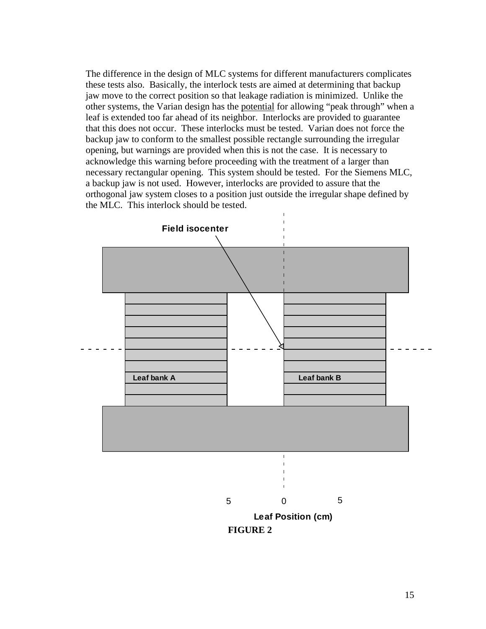The difference in the design of MLC systems for different manufacturers complicates these tests also. Basically, the interlock tests are aimed at determining that backup jaw move to the correct position so that leakage radiation is minimized. Unlike the other systems, the Varian design has the potential for allowing "peak through" when a leaf is extended too far ahead of its neighbor. Interlocks are provided to guarantee that this does not occur. These interlocks must be tested. Varian does not force the backup jaw to conform to the smallest possible rectangle surrounding the irregular opening, but warnings are provided when this is not the case. It is necessary to acknowledge this warning before proceeding with the treatment of a larger than necessary rectangular opening. This system should be tested. For the Siemens MLC, a backup jaw is not used. However, interlocks are provided to assure that the orthogonal jaw system closes to a position just outside the irregular shape defined by the MLC. This interlock should be tested.

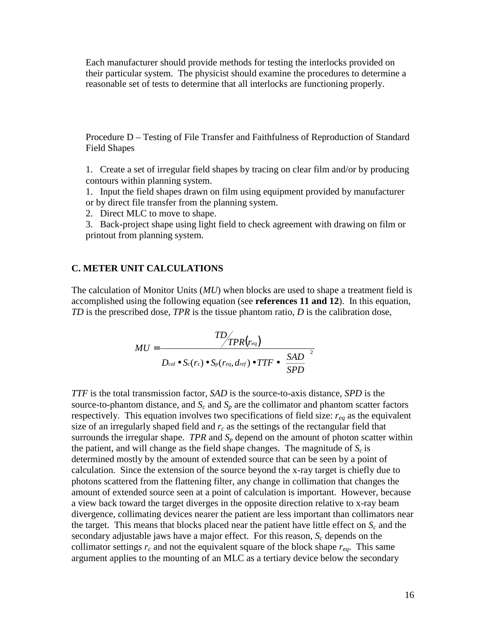Each manufacturer should provide methods for testing the interlocks provided on their particular system. The physicist should examine the procedures to determine a reasonable set of tests to determine that all interlocks are functioning properly.

Procedure D – Testing of File Transfer and Faithfulness of Reproduction of Standard Field Shapes

1. Create a set of irregular field shapes by tracing on clear film and/or by producing contours within planning system.

1. Input the field shapes drawn on film using equipment provided by manufacturer or by direct file transfer from the planning system.

2. Direct MLC to move to shape.

3. Back-project shape using light field to check agreement with drawing on film or printout from planning system.

#### **C. METER UNIT CALCULATIONS**

The calculation of Monitor Units (*MU*) when blocks are used to shape a treatment field is accomplished using the following equation (see **references 11 and 12**). In this equation, *TD* is the prescribed dose, *TPR* is the tissue phantom ratio, *D* is the calibration dose,

$$
MU = \frac{TD}{D_{cal} \bullet S_c(r_c) \bullet S_p(r_{eq}, d_{ref}) \bullet TTF \bullet \left(\frac{SAD}{SPD}\right)^2}
$$

*TTF* is the total transmission factor, *SAD* is the source-to-axis distance, *SPD* is the source-to-phantom distance, and  $S_c$  and  $S_p$  are the collimator and phantom scatter factors respectively. This equation involves two specifications of field size:  $r_{eq}$  as the equivalent size of an irregularly shaped field and  $r_c$  as the settings of the rectangular field that surrounds the irregular shape. *TPR* and  $S_p$  depend on the amount of photon scatter within the patient, and will change as the field shape changes. The magnitude of  $S_c$  is determined mostly by the amount of extended source that can be seen by a point of calculation. Since the extension of the source beyond the x-ray target is chiefly due to photons scattered from the flattening filter, any change in collimation that changes the amount of extended source seen at a point of calculation is important. However, because a view back toward the target diverges in the opposite direction relative to x-ray beam divergence, collimating devices nearer the patient are less important than collimators near the target. This means that blocks placed near the patient have little effect on  $S_c$  and the secondary adjustable jaws have a major effect. For this reason,  $S_c$  depends on the collimator settings  $r_c$  and not the equivalent square of the block shape  $r_{eq}$ . This same argument applies to the mounting of an MLC as a tertiary device below the secondary